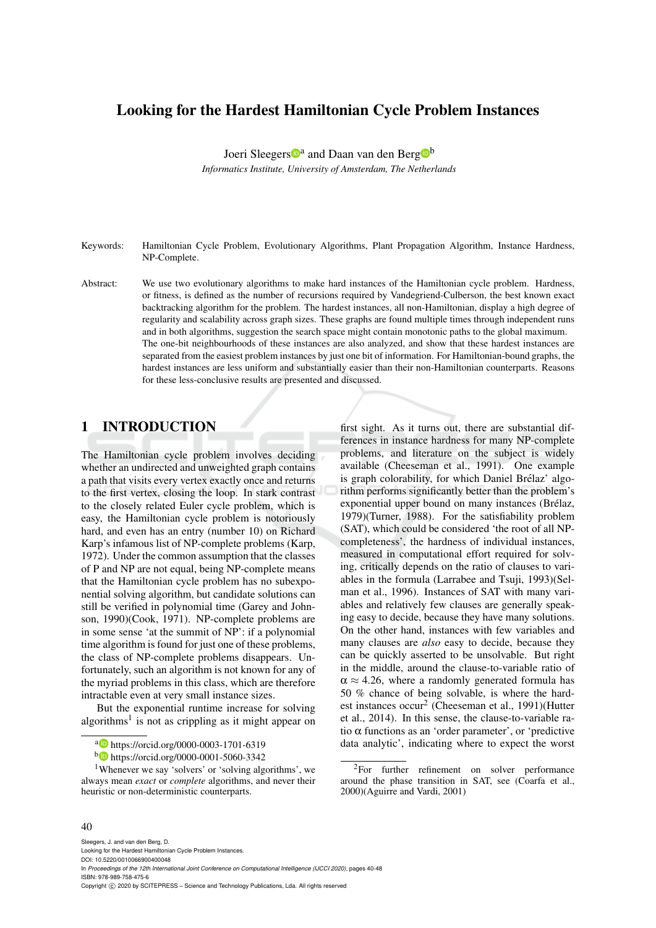## Looking for the Hardest Hamiltonian Cycle Problem Instances

Joeri Sleegers<sup>na</sup> and Daan van den Berg<sup>nb</sup> *Informatics Institute, University of Amsterdam, The Netherlands*

- Keywords: Hamiltonian Cycle Problem, Evolutionary Algorithms, Plant Propagation Algorithm, Instance Hardness, NP-Complete.
- Abstract: We use two evolutionary algorithms to make hard instances of the Hamiltonian cycle problem. Hardness, or fitness, is defined as the number of recursions required by Vandegriend-Culberson, the best known exact backtracking algorithm for the problem. The hardest instances, all non-Hamiltonian, display a high degree of regularity and scalability across graph sizes. These graphs are found multiple times through independent runs and in both algorithms, suggestion the search space might contain monotonic paths to the global maximum. The one-bit neighbourhoods of these instances are also analyzed, and show that these hardest instances are separated from the easiest problem instances by just one bit of information. For Hamiltonian-bound graphs, the hardest instances are less uniform and substantially easier than their non-Hamiltonian counterparts. Reasons for these less-conclusive results are presented and discussed.

## 1 INTRODUCTION

The Hamiltonian cycle problem involves deciding whether an undirected and unweighted graph contains a path that visits every vertex exactly once and returns to the first vertex, closing the loop. In stark contrast to the closely related Euler cycle problem, which is easy, the Hamiltonian cycle problem is notoriously hard, and even has an entry (number 10) on Richard Karp's infamous list of NP-complete problems (Karp, 1972). Under the common assumption that the classes of P and NP are not equal, being NP-complete means that the Hamiltonian cycle problem has no subexponential solving algorithm, but candidate solutions can still be verified in polynomial time (Garey and Johnson, 1990)(Cook, 1971). NP-complete problems are in some sense 'at the summit of NP': if a polynomial time algorithm is found for just one of these problems, the class of NP-complete problems disappears. Unfortunately, such an algorithm is not known for any of the myriad problems in this class, which are therefore intractable even at very small instance sizes.

But the exponential runtime increase for solving algorithms<sup>1</sup> is not as crippling as it might appear on

first sight. As it turns out, there are substantial differences in instance hardness for many NP-complete problems, and literature on the subject is widely available (Cheeseman et al., 1991). One example is graph colorability, for which Daniel Brélaz' algorithm performs significantly better than the problem's exponential upper bound on many instances (Brélaz, 1979)(Turner, 1988). For the satisfiability problem (SAT), which could be considered 'the root of all NPcompleteness', the hardness of individual instances, measured in computational effort required for solving, critically depends on the ratio of clauses to variables in the formula (Larrabee and Tsuji, 1993)(Selman et al., 1996). Instances of SAT with many variables and relatively few clauses are generally speaking easy to decide, because they have many solutions. On the other hand, instances with few variables and many clauses are *also* easy to decide, because they can be quickly asserted to be unsolvable. But right in the middle, around the clause-to-variable ratio of  $\alpha \approx 4.26$ , where a randomly generated formula has 50 % chance of being solvable, is where the hardest instances occur<sup>2</sup> (Cheeseman et al., 1991)(Hutter et al., 2014). In this sense, the clause-to-variable ratio  $\alpha$  functions as an 'order parameter', or 'predictive data analytic', indicating where to expect the worst

#### 40

Sleegers, J. and van den Berg, D.

Copyright © 2020 by SCITEPRESS - Science and Technology Publications, Lda. All rights reserved

<sup>a</sup> https://orcid.org/0000-0003-1701-6319

<sup>b</sup> https://orcid.org/0000-0001-5060-3342

<sup>1</sup>Whenever we say 'solvers' or 'solving algorithms', we always mean *exact* or *complete* algorithms, and never their heuristic or non-deterministic counterparts.

<sup>&</sup>lt;sup>2</sup>For further refinement on solver performance around the phase transition in SAT, see (Coarfa et al., 2000)(Aguirre and Vardi, 2001)

Looking for the Hardest Hamiltonian Cycle Problem Instances. DOI: 10.5220/0010066900400048

In *Proceedings of the 12th International Joint Conference on Computational Intelligence (IJCCI 2020)*, pages 40-48 ISBN: 978-989-758-475-6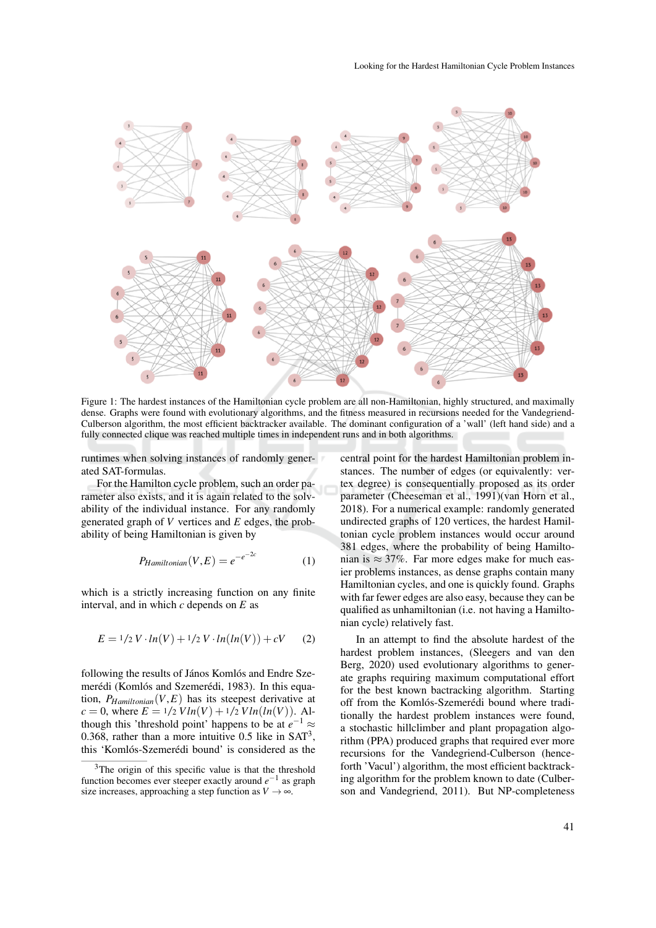

Figure 1: The hardest instances of the Hamiltonian cycle problem are all non-Hamiltonian, highly structured, and maximally dense. Graphs were found with evolutionary algorithms, and the fitness measured in recursions needed for the Vandegriend-Culberson algorithm, the most efficient backtracker available. The dominant configuration of a 'wall' (left hand side) and a fully connected clique was reached multiple times in independent runs and in both algorithms.

runtimes when solving instances of randomly generated SAT-formulas.

For the Hamilton cycle problem, such an order parameter also exists, and it is again related to the solvability of the individual instance. For any randomly generated graph of *V* vertices and *E* edges, the probability of being Hamiltonian is given by

$$
P_{Hamiltonian}(V, E) = e^{-e^{-2c}}
$$
 (1)

which is a strictly increasing function on any finite interval, and in which *c* depends on *E* as

$$
E = \frac{1}{2} V \cdot \ln(V) + \frac{1}{2} V \cdot \ln(\ln(V)) + cV \tag{2}
$$

following the results of János Komlós and Endre Szemerédi (Komlós and Szemerédi, 1983). In this equation,  $P_{Hamiltonian}(V, E)$  has its steepest derivative at  $c = 0$ , where  $E = 1/2$  *Vln*(*V*) +  $1/2$  *Vln*(*ln*(*V*)). Although this 'threshold point' happens to be at  $e^{-1} \approx$ 0.368, rather than a more intuitive 0.5 like in  $SAT<sup>3</sup>$ , this 'Komlós-Szemerédi bound' is considered as the central point for the hardest Hamiltonian problem instances. The number of edges (or equivalently: vertex degree) is consequentially proposed as its order parameter (Cheeseman et al., 1991)(van Horn et al., 2018). For a numerical example: randomly generated undirected graphs of 120 vertices, the hardest Hamiltonian cycle problem instances would occur around 381 edges, where the probability of being Hamiltonian is  $\approx 37\%$ . Far more edges make for much easier problems instances, as dense graphs contain many Hamiltonian cycles, and one is quickly found. Graphs with far fewer edges are also easy, because they can be qualified as unhamiltonian (i.e. not having a Hamiltonian cycle) relatively fast.

In an attempt to find the absolute hardest of the hardest problem instances, (Sleegers and van den Berg, 2020) used evolutionary algorithms to generate graphs requiring maximum computational effort for the best known bactracking algorithm. Starting off from the Komlós-Szemerédi bound where traditionally the hardest problem instances were found, a stochastic hillclimber and plant propagation algorithm (PPA) produced graphs that required ever more recursions for the Vandegriend-Culberson (henceforth 'Vacul') algorithm, the most efficient backtracking algorithm for the problem known to date (Culberson and Vandegriend, 2011). But NP-completeness

 $3$ The origin of this specific value is that the threshold function becomes ever steeper exactly around  $e^{-1}$  as graph size increases, approaching a step function as  $V \rightarrow \infty$ .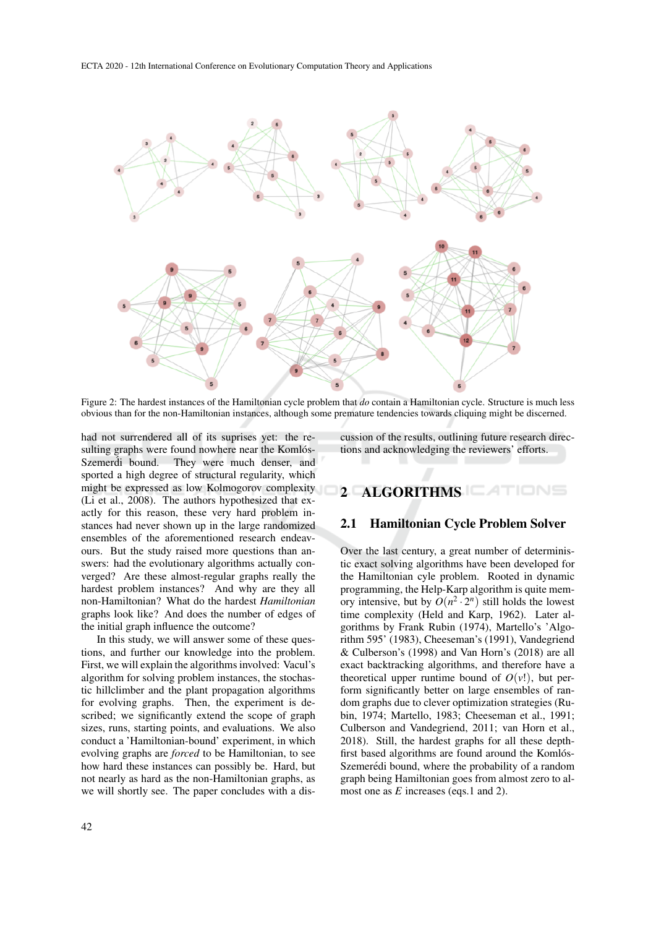

Figure 2: The hardest instances of the Hamiltonian cycle problem that *do* contain a Hamiltonian cycle. Structure is much less obvious than for the non-Hamiltonian instances, although some premature tendencies towards cliquing might be discerned.

had not surrendered all of its suprises yet: the resulting graphs were found nowhere near the Komlós-Szemerdi bound. They were much denser, and sported a high degree of structural regularity, which might be expressed as low Kolmogorov complexity (Li et al., 2008). The authors hypothesized that exactly for this reason, these very hard problem instances had never shown up in the large randomized ensembles of the aforementioned research endeavours. But the study raised more questions than answers: had the evolutionary algorithms actually converged? Are these almost-regular graphs really the hardest problem instances? And why are they all non-Hamiltonian? What do the hardest *Hamiltonian* graphs look like? And does the number of edges of the initial graph influence the outcome?

In this study, we will answer some of these questions, and further our knowledge into the problem. First, we will explain the algorithms involved: Vacul's algorithm for solving problem instances, the stochastic hillclimber and the plant propagation algorithms for evolving graphs. Then, the experiment is described; we significantly extend the scope of graph sizes, runs, starting points, and evaluations. We also conduct a 'Hamiltonian-bound' experiment, in which evolving graphs are *forced* to be Hamiltonian, to see how hard these instances can possibly be. Hard, but not nearly as hard as the non-Hamiltonian graphs, as we will shortly see. The paper concludes with a discussion of the results, outlining future research directions and acknowledging the reviewers' efforts.

# 2 ALGORITHMS **ALGORITHMS**

### 2.1 Hamiltonian Cycle Problem Solver

Over the last century, a great number of deterministic exact solving algorithms have been developed for the Hamiltonian cyle problem. Rooted in dynamic programming, the Help-Karp algorithm is quite memory intensive, but by  $O(n^2 \cdot 2^n)$  still holds the lowest time complexity (Held and Karp, 1962). Later algorithms by Frank Rubin (1974), Martello's 'Algorithm 595' (1983), Cheeseman's (1991), Vandegriend & Culberson's (1998) and Van Horn's (2018) are all exact backtracking algorithms, and therefore have a theoretical upper runtime bound of  $O(v!)$ , but perform significantly better on large ensembles of random graphs due to clever optimization strategies (Rubin, 1974; Martello, 1983; Cheeseman et al., 1991; Culberson and Vandegriend, 2011; van Horn et al., 2018). Still, the hardest graphs for all these depthfirst based algorithms are found around the Komlós-Szemerédi bound, where the probability of a random graph being Hamiltonian goes from almost zero to almost one as *E* increases (eqs.1 and 2).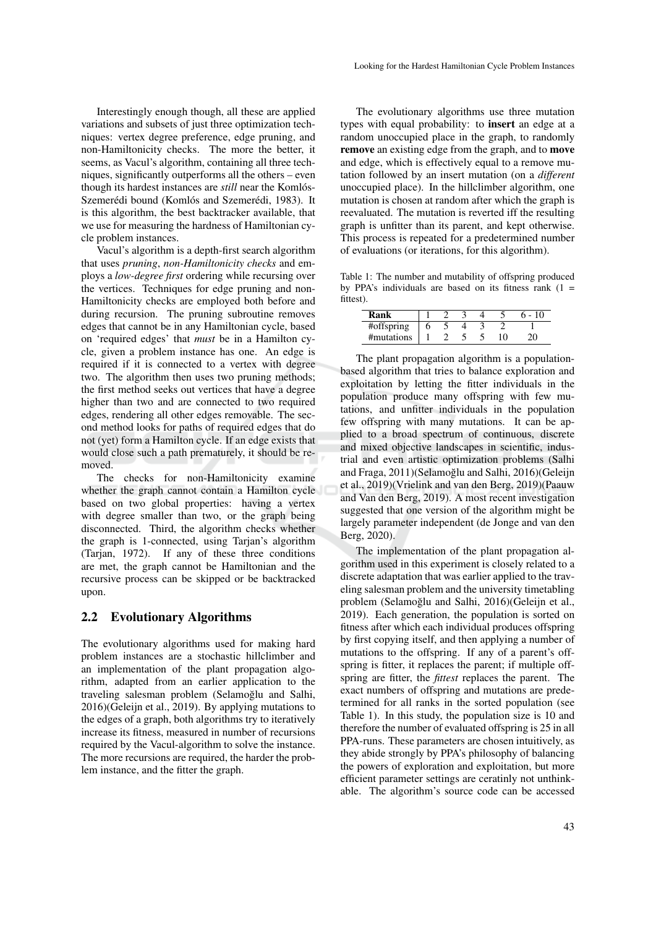niques, significantly outperforms all the others – even though its hardest instances are *still* near the Komlós-Szemerédi bound (Komlós and Szemerédi, 1983). It is this algorithm, the best backtracker available, that we use for measuring the hardness of Hamiltonian cycle problem instances.

Vacul's algorithm is a depth-first search algorithm that uses *pruning*, *non-Hamiltonicity checks* and employs a *low-degree first* ordering while recursing over the vertices. Techniques for edge pruning and non-Hamiltonicity checks are employed both before and during recursion. The pruning subroutine removes edges that cannot be in any Hamiltonian cycle, based on 'required edges' that *must* be in a Hamilton cycle, given a problem instance has one. An edge is required if it is connected to a vertex with degree two. The algorithm then uses two pruning methods; the first method seeks out vertices that have a degree higher than two and are connected to two required edges, rendering all other edges removable. The second method looks for paths of required edges that do not (yet) form a Hamilton cycle. If an edge exists that would close such a path prematurely, it should be removed.

The checks for non-Hamiltonicity examine whether the graph cannot contain a Hamilton cycle based on two global properties: having a vertex with degree smaller than two, or the graph being disconnected. Third, the algorithm checks whether the graph is 1-connected, using Tarjan's algorithm (Tarjan, 1972). If any of these three conditions are met, the graph cannot be Hamiltonian and the recursive process can be skipped or be backtracked upon.

### 2.2 Evolutionary Algorithms

The evolutionary algorithms used for making hard problem instances are a stochastic hillclimber and an implementation of the plant propagation algorithm, adapted from an earlier application to the traveling salesman problem (Selamoğlu and Salhi, 2016)(Geleijn et al., 2019). By applying mutations to the edges of a graph, both algorithms try to iteratively increase its fitness, measured in number of recursions required by the Vacul-algorithm to solve the instance. The more recursions are required, the harder the problem instance, and the fitter the graph.

The evolutionary algorithms use three mutation types with equal probability: to insert an edge at a random unoccupied place in the graph, to randomly remove an existing edge from the graph, and to move and edge, which is effectively equal to a remove mutation followed by an insert mutation (on a *different* unoccupied place). In the hillclimber algorithm, one mutation is chosen at random after which the graph is reevaluated. The mutation is reverted iff the resulting graph is unfitter than its parent, and kept otherwise. This process is repeated for a predetermined number of evaluations (or iterations, for this algorithm).

Table 1: The number and mutability of offspring produced by PPA's individuals are based on its fitness rank  $(1 =$ fittest).

| Rank       |  |  |  |
|------------|--|--|--|
| #offspring |  |  |  |
| #mutations |  |  |  |

The plant propagation algorithm is a populationbased algorithm that tries to balance exploration and exploitation by letting the fitter individuals in the population produce many offspring with few mutations, and unfitter individuals in the population few offspring with many mutations. It can be applied to a broad spectrum of continuous, discrete and mixed objective landscapes in scientific, industrial and even artistic optimization problems (Salhi and Fraga, 2011)(Selamoğlu and Salhi, 2016)(Geleijn et al., 2019)(Vrielink and van den Berg, 2019)(Paauw and Van den Berg, 2019). A most recent investigation suggested that one version of the algorithm might be largely parameter independent (de Jonge and van den Berg, 2020).

The implementation of the plant propagation algorithm used in this experiment is closely related to a discrete adaptation that was earlier applied to the traveling salesman problem and the university timetabling problem (Selamoğlu and Salhi, 2016)(Geleijn et al., 2019). Each generation, the population is sorted on fitness after which each individual produces offspring by first copying itself, and then applying a number of mutations to the offspring. If any of a parent's offspring is fitter, it replaces the parent; if multiple offspring are fitter, the *fittest* replaces the parent. The exact numbers of offspring and mutations are predetermined for all ranks in the sorted population (see Table 1). In this study, the population size is 10 and therefore the number of evaluated offspring is 25 in all PPA-runs. These parameters are chosen intuitively, as they abide strongly by PPA's philosophy of balancing the powers of exploration and exploitation, but more efficient parameter settings are ceratinly not unthinkable. The algorithm's source code can be accessed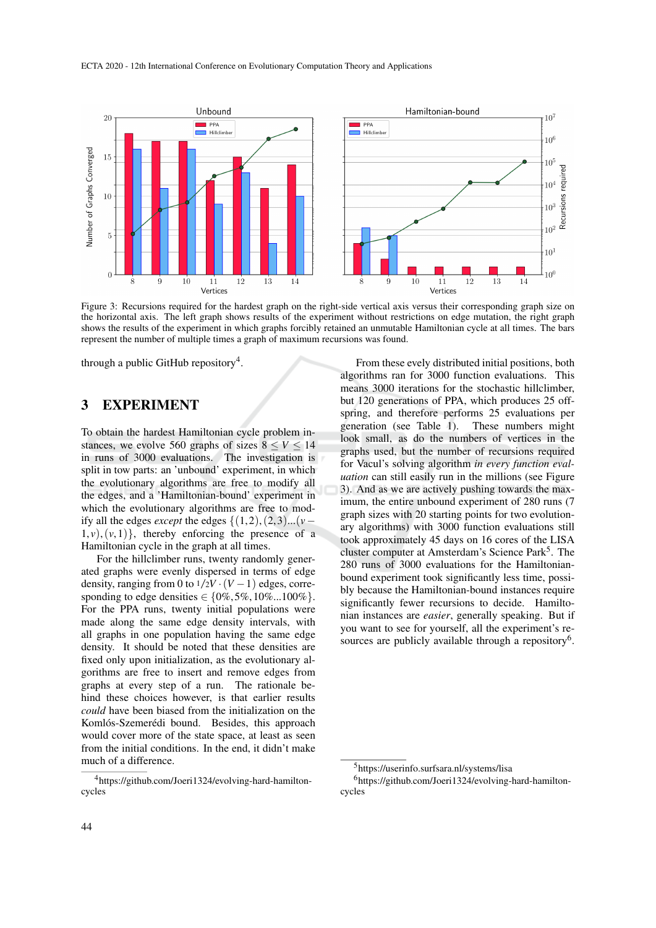

Figure 3: Recursions required for the hardest graph on the right-side vertical axis versus their corresponding graph size on the horizontal axis. The left graph shows results of the experiment without restrictions on edge mutation, the right graph shows the results of the experiment in which graphs forcibly retained an unmutable Hamiltonian cycle at all times. The bars represent the number of multiple times a graph of maximum recursions was found.

through a public GitHub repository<sup>4</sup>.

### 3 EXPERIMENT

To obtain the hardest Hamiltonian cycle problem instances, we evolve 560 graphs of sizes  $8 \le V \le 14$ in runs of 3000 evaluations. The investigation is split in tow parts: an 'unbound' experiment, in which the evolutionary algorithms are free to modify all the edges, and a 'Hamiltonian-bound' experiment in which the evolutionary algorithms are free to modify all the edges *except* the edges {(1, 2),(2, 3)...(*v*−  $1, v$ ,  $(v, 1)$ }, thereby enforcing the presence of a Hamiltonian cycle in the graph at all times.

For the hillclimber runs, twenty randomly generated graphs were evenly dispersed in terms of edge density, ranging from 0 to  $1/2V \cdot (V-1)$  edges, corresponding to edge densities  $\in \{0\%, 5\%, 10\%, .100\% \}.$ For the PPA runs, twenty initial populations were made along the same edge density intervals, with all graphs in one population having the same edge density. It should be noted that these densities are fixed only upon initialization, as the evolutionary algorithms are free to insert and remove edges from graphs at every step of a run. The rationale behind these choices however, is that earlier results *could* have been biased from the initialization on the Komlós-Szemerédi bound. Besides, this approach would cover more of the state space, at least as seen from the initial conditions. In the end, it didn't make much of a difference.

From these evely distributed initial positions, both algorithms ran for 3000 function evaluations. This means 3000 iterations for the stochastic hillclimber, but 120 generations of PPA, which produces 25 offspring, and therefore performs 25 evaluations per generation (see Table 1). These numbers might look small, as do the numbers of vertices in the graphs used, but the number of recursions required for Vacul's solving algorithm *in every function evaluation* can still easily run in the millions (see Figure 3). And as we are actively pushing towards the maximum, the entire unbound experiment of 280 runs (7 graph sizes with 20 starting points for two evolutionary algorithms) with 3000 function evaluations still took approximately 45 days on 16 cores of the LISA cluster computer at Amsterdam's Science Park<sup>5</sup>. The 280 runs of 3000 evaluations for the Hamiltonianbound experiment took significantly less time, possibly because the Hamiltonian-bound instances require significantly fewer recursions to decide. Hamiltonian instances are *easier*, generally speaking. But if you want to see for yourself, all the experiment's resources are publicly available through a repository<sup>6</sup>.

<sup>4</sup>https://github.com/Joeri1324/evolving-hard-hamiltoncycles

<sup>5</sup>https://userinfo.surfsara.nl/systems/lisa

<sup>6</sup>https://github.com/Joeri1324/evolving-hard-hamiltoncycles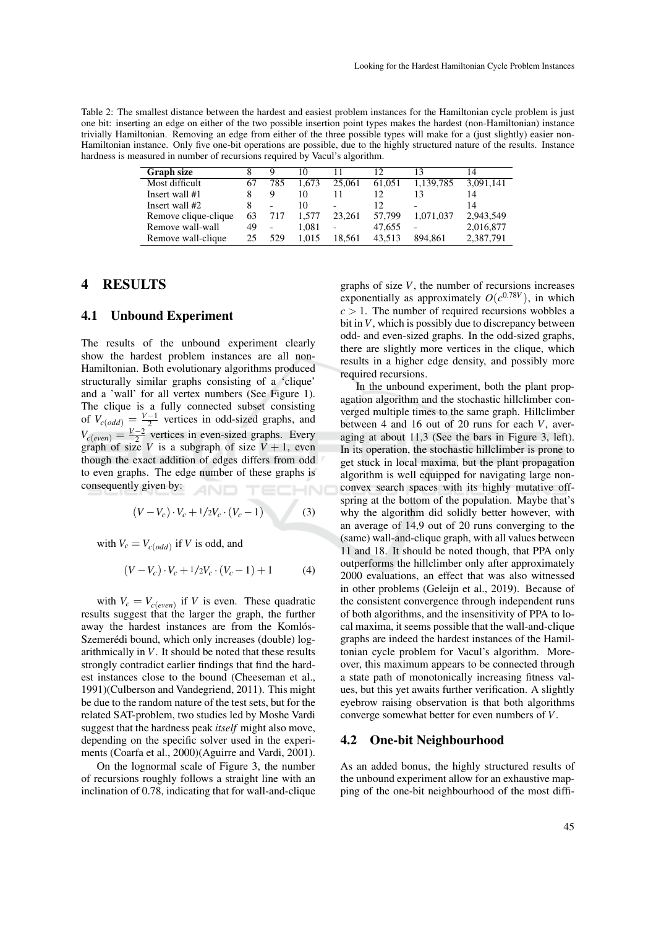Table 2: The smallest distance between the hardest and easiest problem instances for the Hamiltonian cycle problem is just one bit: inserting an edge on either of the two possible insertion point types makes the hardest (non-Hamiltonian) instance trivially Hamiltonian. Removing an edge from either of the three possible types will make for a (just slightly) easier non-Hamiltonian instance. Only five one-bit operations are possible, due to the highly structured nature of the results. Instance hardness is measured in number of recursions required by Vacul's algorithm.

| <b>Graph size</b>    |    | Q                        | 10    |                          | 12     |           | 14        |
|----------------------|----|--------------------------|-------|--------------------------|--------|-----------|-----------|
| Most difficult       | 67 | 785                      | 1.673 | 25,061                   | 61.051 | 1,139,785 | 3,091,141 |
| Insert wall #1       |    | 9                        | 10    |                          | 12.    |           | 14        |
| Insert wall #2       |    |                          | 10    | $\overline{\phantom{0}}$ | 12.    |           | 14        |
| Remove clique-clique | 63 | 717                      | 1.577 | 23.261                   | 57,799 | 1.071.037 | 2,943,549 |
| Remove wall-wall     | 49 | $\overline{\phantom{a}}$ | 1.081 | $\overline{\phantom{0}}$ | 47.655 | -         | 2,016,877 |
| Remove wall-clique   | 25 | 529                      | 1.015 | 18.561                   | 43.513 | 894.861   | 2,387,791 |

## 4 RESULTS

#### 4.1 Unbound Experiment

The results of the unbound experiment clearly show the hardest problem instances are all non-Hamiltonian. Both evolutionary algorithms produced structurally similar graphs consisting of a 'clique' and a 'wall' for all vertex numbers (See Figure 1). The clique is a fully connected subset consisting of  $V_{c(odd)} = \frac{V-1}{2}$  vertices in odd-sized graphs, and  $V_{c(even)} = \frac{V-2}{2}$  vertices in even-sized graphs. Every graph of size *V* is a subgraph of size  $V + 1$ , even though the exact addition of edges differs from odd to even graphs. The edge number of these graphs is consequently given by:

$$
(V - V_c) \cdot V_c + 1/2V_c \cdot (V_c - 1)
$$
 (3)

with  $V_c = V_{c(odd)}$  if *V* is odd, and

$$
(V - V_c) \cdot V_c + 1/2V_c \cdot (V_c - 1) + 1 \tag{4}
$$

with  $V_c = V_{c(even)}$  if *V* is even. These quadratic results suggest that the larger the graph, the further away the hardest instances are from the Komlós-Szemerédi bound, which only increases (double) logarithmically in *V*. It should be noted that these results strongly contradict earlier findings that find the hardest instances close to the bound (Cheeseman et al., 1991)(Culberson and Vandegriend, 2011). This might be due to the random nature of the test sets, but for the related SAT-problem, two studies led by Moshe Vardi suggest that the hardness peak *itself* might also move, depending on the specific solver used in the experiments (Coarfa et al., 2000)(Aguirre and Vardi, 2001).

On the lognormal scale of Figure 3, the number of recursions roughly follows a straight line with an inclination of 0.78, indicating that for wall-and-clique

graphs of size *V*, the number of recursions increases exponentially as approximately  $O(c^{0.78V})$ , in which  $c > 1$ . The number of required recursions wobbles a bit in*V*, which is possibly due to discrepancy between odd- and even-sized graphs. In the odd-sized graphs, there are slightly more vertices in the clique, which results in a higher edge density, and possibly more required recursions.

In the unbound experiment, both the plant propagation algorithm and the stochastic hillclimber converged multiple times to the same graph. Hillclimber between 4 and 16 out of 20 runs for each *V*, averaging at about 11,3 (See the bars in Figure 3, left). In its operation, the stochastic hillclimber is prone to get stuck in local maxima, but the plant propagation algorithm is well equipped for navigating large nonconvex search spaces with its highly mutative offspring at the bottom of the population. Maybe that's why the algorithm did solidly better however, with an average of 14,9 out of 20 runs converging to the (same) wall-and-clique graph, with all values between 11 and 18. It should be noted though, that PPA only outperforms the hillclimber only after approximately 2000 evaluations, an effect that was also witnessed in other problems (Geleijn et al., 2019). Because of the consistent convergence through independent runs of both algorithms, and the insensitivity of PPA to local maxima, it seems possible that the wall-and-clique graphs are indeed the hardest instances of the Hamiltonian cycle problem for Vacul's algorithm. Moreover, this maximum appears to be connected through a state path of monotonically increasing fitness values, but this yet awaits further verification. A slightly eyebrow raising observation is that both algorithms converge somewhat better for even numbers of *V*.

#### 4.2 One-bit Neighbourhood

As an added bonus, the highly structured results of the unbound experiment allow for an exhaustive mapping of the one-bit neighbourhood of the most diffi-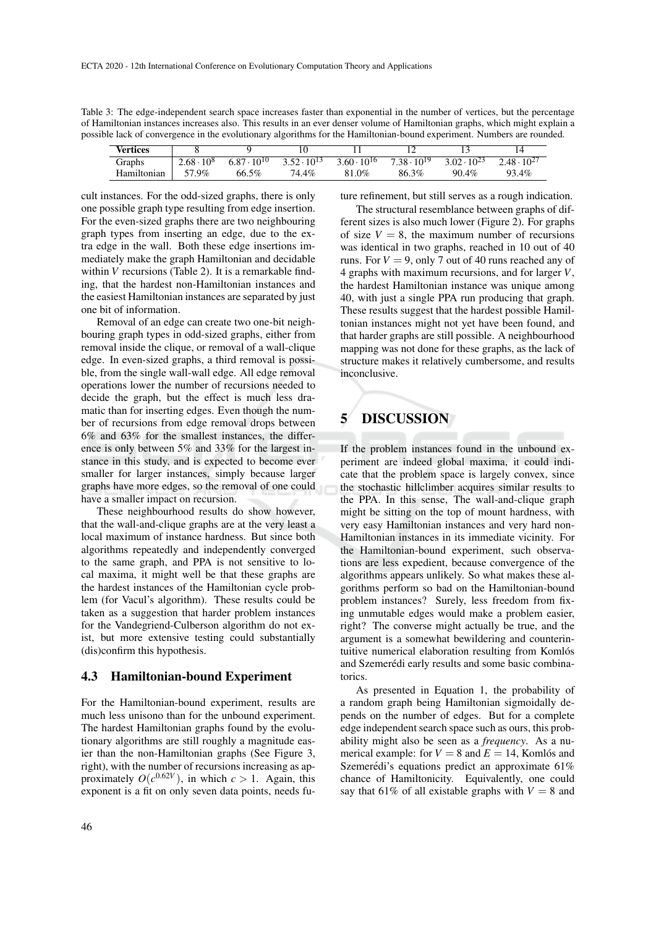Table 3: The edge-independent search space increases faster than exponential in the number of vertices, but the percentage of Hamiltonian instances increases also. This results in an ever denser volume of Hamiltonian graphs, which might explain a possible lack of convergence in the evolutionary algorithms for the Hamiltonian-bound experiment. Numbers are rounded.

| Vertices    |                   |                           |                      |                      |                      |                      |                   |
|-------------|-------------------|---------------------------|----------------------|----------------------|----------------------|----------------------|-------------------|
| Graphs      | $2.68 \cdot 10^8$ | , $\cdot 10^{10}$<br>6.87 | $3.52 \cdot 10^{13}$ | $3.60 \cdot 10^{16}$ | $7.38 \cdot 10^{19}$ | $3.02 \cdot 10^{23}$ | 2.48<br>$10^{27}$ |
| Hamiltonian | $.9\%$            | 66.5%                     | 74.4%                | 81.0%                | $3\%$<br>86.3        | 90.4%                | 93.4%             |

cult instances. For the odd-sized graphs, there is only one possible graph type resulting from edge insertion. For the even-sized graphs there are two neighbouring graph types from inserting an edge, due to the extra edge in the wall. Both these edge insertions immediately make the graph Hamiltonian and decidable within *V* recursions (Table 2). It is a remarkable finding, that the hardest non-Hamiltonian instances and the easiest Hamiltonian instances are separated by just one bit of information.

Removal of an edge can create two one-bit neighbouring graph types in odd-sized graphs, either from removal inside the clique, or removal of a wall-clique edge. In even-sized graphs, a third removal is possible, from the single wall-wall edge. All edge removal operations lower the number of recursions needed to decide the graph, but the effect is much less dramatic than for inserting edges. Even though the number of recursions from edge removal drops between 6% and 63% for the smallest instances, the difference is only between 5% and 33% for the largest instance in this study, and is expected to become ever smaller for larger instances, simply because larger graphs have more edges, so the removal of one could have a smaller impact on recursion.

These neighbourhood results do show however, that the wall-and-clique graphs are at the very least a local maximum of instance hardness. But since both algorithms repeatedly and independently converged to the same graph, and PPA is not sensitive to local maxima, it might well be that these graphs are the hardest instances of the Hamiltonian cycle problem (for Vacul's algorithm). These results could be taken as a suggestion that harder problem instances for the Vandegriend-Culberson algorithm do not exist, but more extensive testing could substantially (dis)confirm this hypothesis.

#### 4.3 Hamiltonian-bound Experiment

For the Hamiltonian-bound experiment, results are much less unisono than for the unbound experiment. The hardest Hamiltonian graphs found by the evolutionary algorithms are still roughly a magnitude easier than the non-Hamiltonian graphs (See Figure 3, right), with the number of recursions increasing as approximately  $O(c^{0.62V})$ , in which  $c > 1$ . Again, this exponent is a fit on only seven data points, needs future refinement, but still serves as a rough indication.

The structural resemblance between graphs of different sizes is also much lower (Figure 2). For graphs of size  $V = 8$ , the maximum number of recursions was identical in two graphs, reached in 10 out of 40 runs. For  $V = 9$ , only 7 out of 40 runs reached any of 4 graphs with maximum recursions, and for larger *V*, the hardest Hamiltonian instance was unique among 40, with just a single PPA run producing that graph. These results suggest that the hardest possible Hamiltonian instances might not yet have been found, and that harder graphs are still possible. A neighbourhood mapping was not done for these graphs, as the lack of structure makes it relatively cumbersome, and results inconclusive.

## 5 DISCUSSION

If the problem instances found in the unbound experiment are indeed global maxima, it could indicate that the problem space is largely convex, since the stochastic hillclimber acquires similar results to the PPA. In this sense, The wall-and-clique graph might be sitting on the top of mount hardness, with very easy Hamiltonian instances and very hard non-Hamiltonian instances in its immediate vicinity. For the Hamiltonian-bound experiment, such observations are less expedient, because convergence of the algorithms appears unlikely. So what makes these algorithms perform so bad on the Hamiltonian-bound problem instances? Surely, less freedom from fixing unmutable edges would make a problem easier, right? The converse might actually be true, and the argument is a somewhat bewildering and counterintuitive numerical elaboration resulting from Komlós and Szemerédi early results and some basic combinatorics.

As presented in Equation 1, the probability of a random graph being Hamiltonian sigmoidally depends on the number of edges. But for a complete edge independent search space such as ours, this probability might also be seen as a *frequency*. As a numerical example: for  $V = 8$  and  $E = 14$ , Komlós and Szemerédi's equations predict an approximate  $61\%$ chance of Hamiltonicity. Equivalently, one could say that 61% of all existable graphs with  $V = 8$  and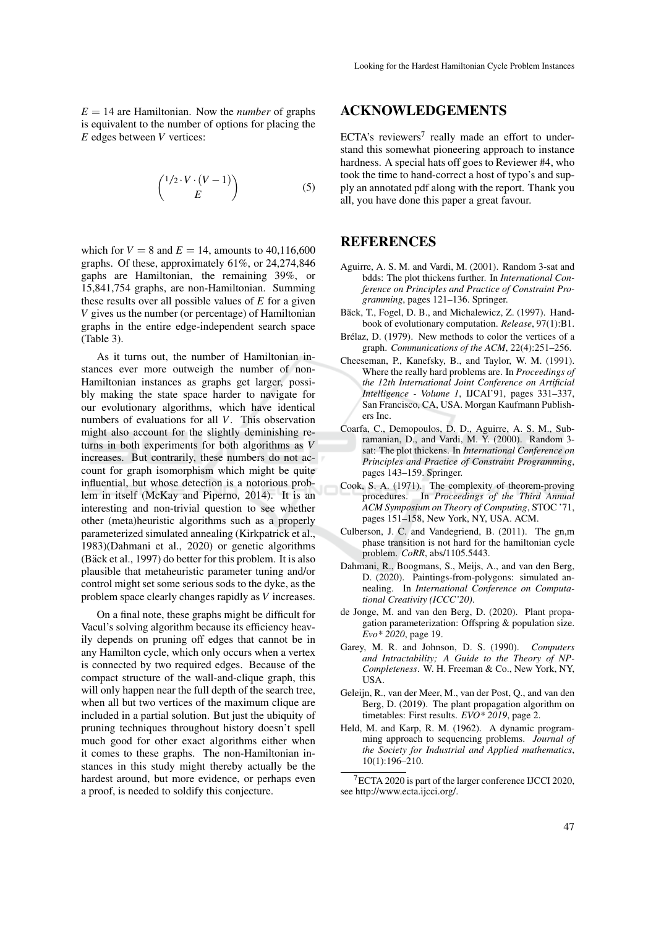$E = 14$  are Hamiltonian. Now the *number* of graphs is equivalent to the number of options for placing the *E* edges between *V* vertices:

$$
\binom{1/2 \cdot V \cdot (V-1)}{E} \tag{5}
$$

which for  $V = 8$  and  $E = 14$ , amounts to 40,116,600 graphs. Of these, approximately 61%, or 24,274,846 gaphs are Hamiltonian, the remaining 39%, or 15,841,754 graphs, are non-Hamiltonian. Summing these results over all possible values of *E* for a given *V* gives us the number (or percentage) of Hamiltonian graphs in the entire edge-independent search space (Table 3).

As it turns out, the number of Hamiltonian instances ever more outweigh the number of non-Hamiltonian instances as graphs get larger, possibly making the state space harder to navigate for our evolutionary algorithms, which have identical numbers of evaluations for all *V*. This observation might also account for the slightly deminishing returns in both experiments for both algorithms as *V* increases. But contrarily, these numbers do not account for graph isomorphism which might be quite influential, but whose detection is a notorious problem in itself (McKay and Piperno, 2014). It is an interesting and non-trivial question to see whether other (meta)heuristic algorithms such as a properly parameterized simulated annealing (Kirkpatrick et al., 1983)(Dahmani et al., 2020) or genetic algorithms (Bäck et al., 1997) do better for this problem. It is also plausible that metaheuristic parameter tuning and/or control might set some serious sods to the dyke, as the problem space clearly changes rapidly as *V* increases.

On a final note, these graphs might be difficult for Vacul's solving algorithm because its efficiency heavily depends on pruning off edges that cannot be in any Hamilton cycle, which only occurs when a vertex is connected by two required edges. Because of the compact structure of the wall-and-clique graph, this will only happen near the full depth of the search tree, when all but two vertices of the maximum clique are included in a partial solution. But just the ubiquity of pruning techniques throughout history doesn't spell much good for other exact algorithms either when it comes to these graphs. The non-Hamiltonian instances in this study might thereby actually be the hardest around, but more evidence, or perhaps even a proof, is needed to soldify this conjecture.

### ACKNOWLEDGEMENTS

ECTA's reviewers<sup>7</sup> really made an effort to understand this somewhat pioneering approach to instance hardness. A special hats off goes to Reviewer #4, who took the time to hand-correct a host of typo's and supply an annotated pdf along with the report. Thank you all, you have done this paper a great favour.

## REFERENCES

- Aguirre, A. S. M. and Vardi, M. (2001). Random 3-sat and bdds: The plot thickens further. In *International Conference on Principles and Practice of Constraint Programming*, pages 121–136. Springer.
- Bäck, T., Fogel, D. B., and Michalewicz, Z. (1997). Handbook of evolutionary computation. *Release*, 97(1):B1.
- Brélaz, D. (1979). New methods to color the vertices of a graph. *Communications of the ACM*, 22(4):251–256.
- Cheeseman, P., Kanefsky, B., and Taylor, W. M. (1991). Where the really hard problems are. In *Proceedings of the 12th International Joint Conference on Artificial Intelligence - Volume 1*, IJCAI'91, pages 331–337, San Francisco, CA, USA. Morgan Kaufmann Publishers Inc.
- Coarfa, C., Demopoulos, D. D., Aguirre, A. S. M., Subramanian, D., and Vardi, M. Y. (2000). Random 3 sat: The plot thickens. In *International Conference on Principles and Practice of Constraint Programming*, pages 143–159. Springer.
- Cook, S. A. (1971). The complexity of theorem-proving procedures. In *Proceedings of the Third Annual ACM Symposium on Theory of Computing*, STOC '71, pages 151–158, New York, NY, USA. ACM.
- Culberson, J. C. and Vandegriend, B. (2011). The gn,m phase transition is not hard for the hamiltonian cycle problem. *CoRR*, abs/1105.5443.
- Dahmani, R., Boogmans, S., Meijs, A., and van den Berg, D. (2020). Paintings-from-polygons: simulated annealing. In *International Conference on Computational Creativity (ICCC'20)*.
- de Jonge, M. and van den Berg, D. (2020). Plant propagation parameterization: Offspring & population size. *Evo\* 2020*, page 19.
- Garey, M. R. and Johnson, D. S. (1990). *Computers and Intractability; A Guide to the Theory of NP-Completeness*. W. H. Freeman & Co., New York, NY, USA.
- Geleijn, R., van der Meer, M., van der Post, Q., and van den Berg, D. (2019). The plant propagation algorithm on timetables: First results. *EVO\* 2019*, page 2.
- Held, M. and Karp, R. M. (1962). A dynamic programming approach to sequencing problems. *Journal of the Society for Industrial and Applied mathematics*, 10(1):196–210.

<sup>7</sup>ECTA 2020 is part of the larger conference IJCCI 2020, see http://www.ecta.ijcci.org/.